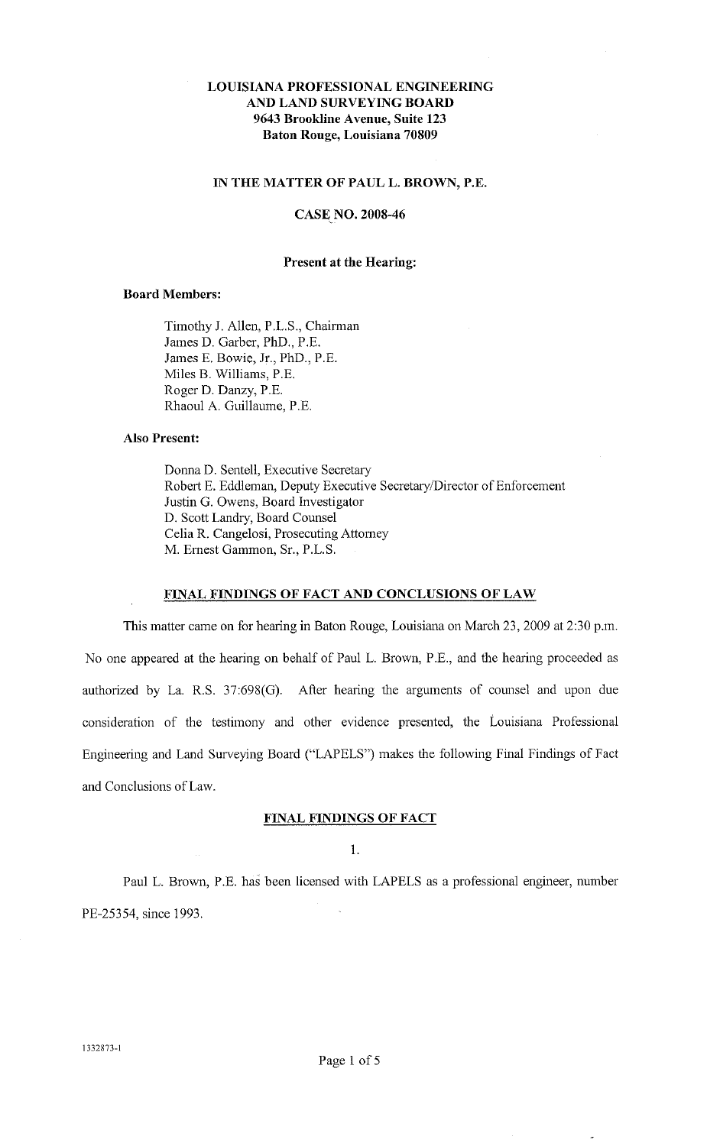# **LOUISIANA PROFESSIONAL ENGINEERING AND LAND SURVEYING BOARD 9643 Brookline Avenue, Suite 123 Baton Rouge, Louisiana 70809**

## **IN THE MATTER OF PAULL. BROWN, P.E.**

## **CASE NO. 2008-46**

#### **Present at the Hearing:**

## **Board Members:**

Timothy J. Allen, P.L.S., Chairman James D. Garber, PhD., P.E. James E. Bowie, Jr., PhD., P.E. Miles B. Williams, P.E. Roger D. Danzy, P.E. Rhaoul A. Guillaume, P.E.

# **Also Present:**

Donna D. Sentell, Executive Secretary Robert E. Eddleman, Deputy Executive Secretary/Director of Enforcement Justin G. Owens, Board Investigator D. Scott Landry, Board Counsel Celia R. Cangelosi, Prosecuting Attomey M. Emest Gammon, Sr., P.L.S.

# **FINAL FINDINGS OF FACT AND CONCLUSIONS OF LAW**

This matter came on for hearing in Baton Rouge, Louisiana on March 23, 2009 at 2:30 p.m. No one appeared at the hearing on behalf of Paul L. Brown, P.E., and the hearing proceeded as authorized by La. R.S. 37:698(G). After hearing the arguments of counsel and upon due consideration of the testimony and other evidence presented, the Louisiana Professional Engineering and Land Surveying Board ("LAPELS") makes the following Final Findings of Fact and Conclusions of Law.

### **FINAL FINDINGS OF FACT**

1.

Paul L. Brown, P.E. has been licensed with LAPELS as a professional engineer, number PE-25354, since 1993.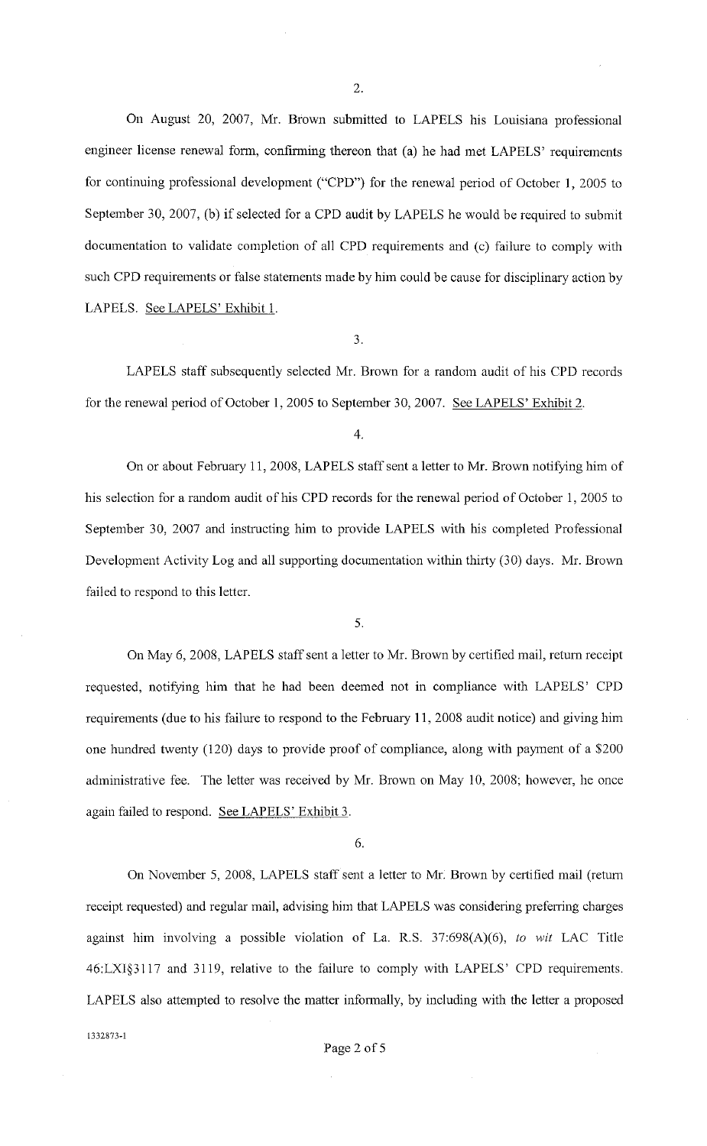2.

On August 20, 2007, Mr. Brown submitted to LAPELS his Louisiana professional engineer license renewal form, confinning thereon that (a) he had met LAPELS' requirements for continuing professional development ("CPD") for the renewal period of October 1, 2005 to September 30,2007, (b) if selected for a CPD audit by LAPELS he would be required to submit documentation to validate completion of all CPD requirements and (c) failure to comply with such CPD requirements or false statements made by him could be cause for disciplinary action by LAPELS. See LAPELS' Exhibit 1.

3.

LAPELS staff subsequently selected Mr. Brown for a random audit of his CPD records for the renewal period of October I, 2005 to September 30,2007. See LAPELS' Exhibit 2.

On or about February 11,2008, LAPELS staff sent a letter to Mr. Brown notifying him of his selection for a random audit of his CPD records for the renewal period of October 1, 2005 to September 30, 2007 and instructing him to provide LAPELS with his completed Professional Development Activity Log and all supporting documentation within thirty (30) days. Mr. Brown failed to respond to this letter.

5.

On May 6, 2008, LAPELS staff sent a letter to Mr. Brown by certified mail, return receipt requested, notifying him that he had been deemed not in compliance with LAPELS' CPD requirements (due to his failure to respond to the February 11,2008 audit notice) and giving him one hundred twenty (120) days to provide proof of compliance, along with payment of a \$200 administrative fee. The letter was received by Mr. Brown on May 10, 2008; however, he once again failed to respond. See LAPELS' Exhibit 3.

6.

On November 5, 2008, LAPELS staff sent a letter to Mr. Brown by certified mail (return receipt requested) and regular mail, advising him that LAPELS was considering preferring charges against him involving a possible violation of La. R.S. 37:698(A)(6), *to wit* LAC Title 46:LX1§3117 and 3119, relative to the failure to comply with LAPELS' CPD requirements. LAPELS also attempted to resolve the matter informally, by including with the letter a proposed 1332873-l

<sup>4.</sup>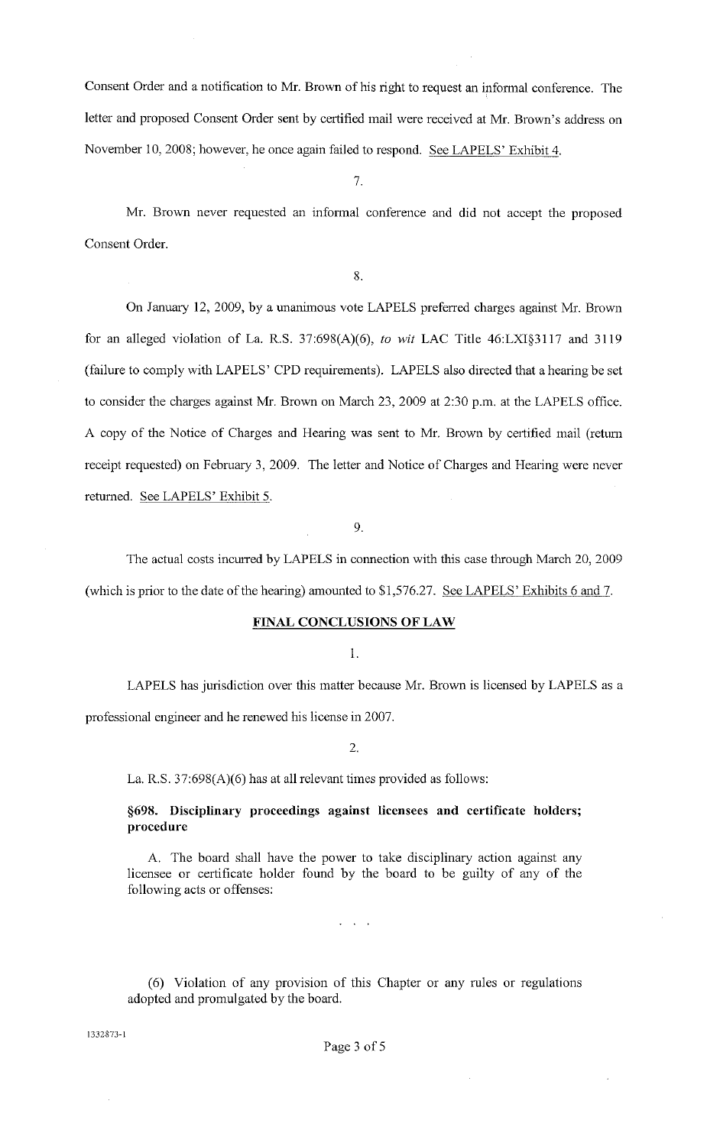Consent Order and a notification to Mr. Brown of his right to request an informal conference. The letter and proposed Consent Order sent by certified mail were received at Mr. Brown's address on November 10, 2008; however, he once again failed to respond. See LAPELS' Exhibit 4.

7.

Mr. Brown never requested an infonnal conference and did not accept the proposed Consent Order.

8.

On January 12, 2009, by a unanimous vote LAPELS preferred charges against Mr. Brown for an alleged violation of La. R.S. 37:698(A)(6), *to wit* LAC Title 46:LXI§3117 and 3119 (failure to comply with LAPELS' CPD requirements). LAPELS also directed that a hearing be set to consider the charges against Mr. Brown on March 23, 2009 at 2:30 p.m. at the LAPELS office. A copy of the Notice of Charges and Hearing was sent to Mr. Brown by certified mail (retum receipt requested) on February 3, 2009. The letter and Notice of Charges and Hearing were never retumed. See LAPELS' Exhibit 5.

9.

The actual costs incurred by LAPELS in connection with this case through March 20, 2009 (which is prior to the date of the hearing) amounted to \$1,576.27. See LAPELS' Exhibits 6 and 7.

## FINAL CONCLUSIONS OF LAW

I.

LAPELS has jurisdiction over this matter because Mr. Brown is licensed by LAPELS as a professional engineer and he renewed his license in 2007.

2.

La. R.S. 37:698(A)(6) has at all relevant times provided as follows:

# §698. Disciplinary proceedings against licensees and certificate holders; procedure

A. The board shall have the power to take disciplinary action against any licensee or certificate holder found by the board to be guilty of any of the following acts or offenses:

 $\sim$   $\sim$ 

(6) Violation of any provision of this Chapter or any rules or regulations adopted and promulgated by the board.

1332873-1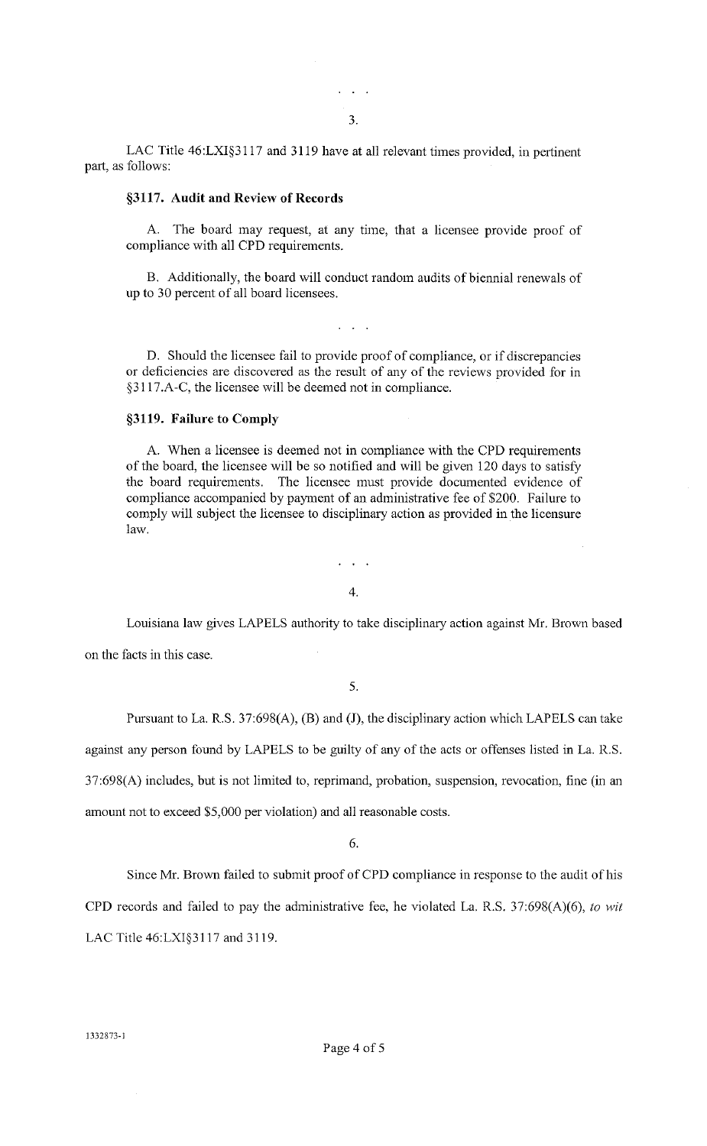3.

 $\mathcal{L}^{\text{max}}$ 

LAC Title  $46: LXI$ §3117 and 3119 have at all relevant times provided, in pertinent part, as follows:

#### **§3117. Audit and Review of Records**

A. The board may request, at any time, that a licensee provide proof of compliance with all CPD requirements.

B. Additionally, the board will conduct random audits of biennial renewals of up to 30 percent of all board licensees.

D. Should the licensee fail to provide proof of compliance, or if discrepancies or deficiencies are discovered as the result of any of the reviews provided for in §3117.A-C, the licensee will be deemed not in compliance.

#### **§3119. Failure to Comply**

A. When a licensee is deemed not in compliance with the CPD requirements of the board, the licensee will be so notified and will be given 120 days to satisfy the board requirements. The licensee must provide documented evidence of compliance accompanied by payment of an administrative fee of \$200. Failure to comply will subject the licensee to disciplinary action as provided in the licensure law.

4.

Louisiana law gives LAPELS authority to take disciplinary action against Mr. Brown based on the facts in this case.

5.

Pursuant to La. R.S. 37:698(A), (B) and (J), the disciplinary action which LAPELS can take against any person found by LAPELS to be guilty of any of the acts or offenses listed in La. R.S.

37:698(A) includes, but is not limited to, reprimand, probation, suspension, revocation, fine (in an

amount not to exceed \$5,000 per violation) and all reasonable costs.

6.

Since Mr. Brown failed to submit proof of CPD compliance in response to the audit of his CPD records and failed to pay the administrative fee, he violated La. R.S. 37:698(A)(6), *to wit*  LAC Title 46:LXI§3117 and 3119.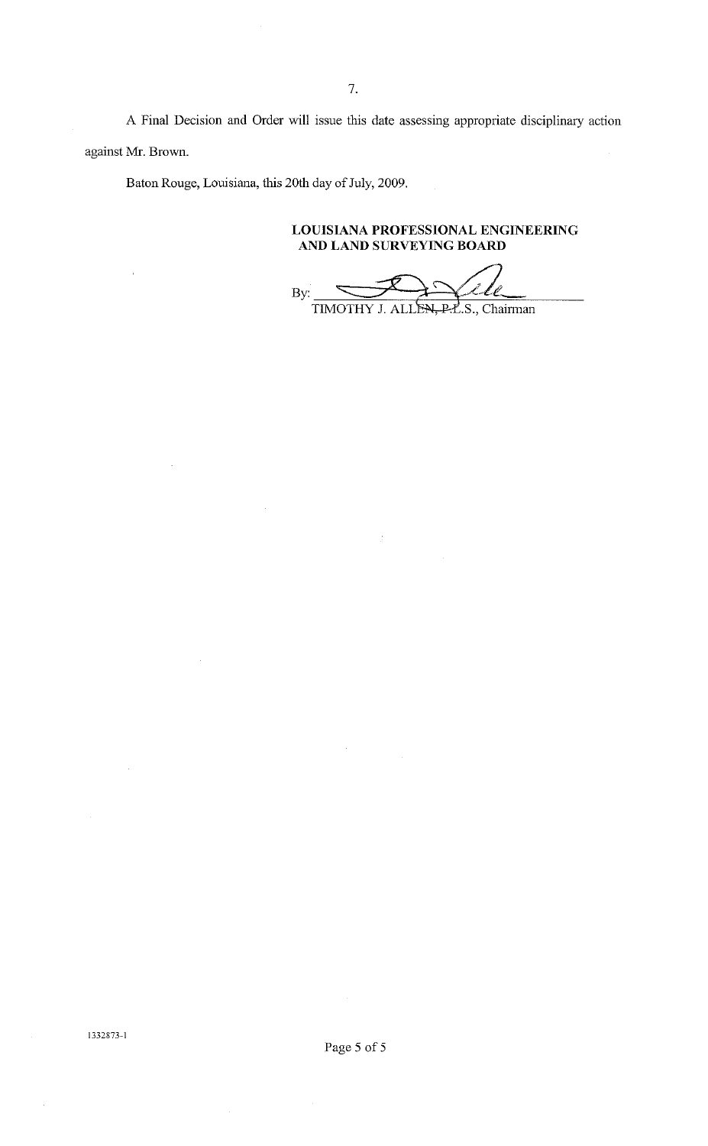A Final Decision and Order will issue this date assessing appropriate disciplinary action against Mr. Brown.

Baton Rouge, Louisiana, this 20th day of July, 2009.

**LOUISIANA PROFESSIONAL ENGINEERING AND LAND SURVEYING BOARD** 

 $By$ TIMOTHY J. ALLEN, P.L.S., Chairman

1332873-1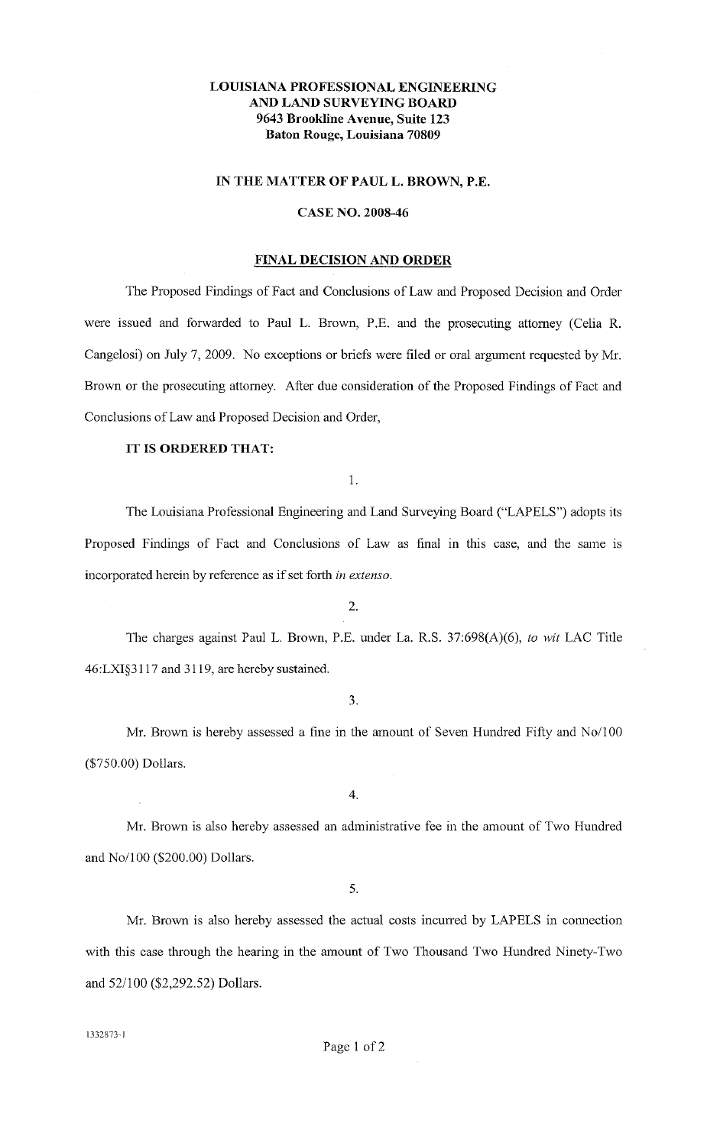# LOUISIANA PROFESSIONAL ENGINEERING AND LAND SURVEYING BOARD 9643 Brookline Avenue, Suite 123 Baton Rouge, Louisiana 70809

### IN THE MATTER OF PAUL L. BROWN, P.E.

### CASE NO. 2008-46

#### FINAL DECISION AND ORDER

The Proposed Findings of Fact and Conclusions of Law and Proposed Decision and Order were issued and forwarded to Paul L. Brown, P.E. and the prosecuting attorney (Celia R. Cangelosi) on July 7, 2009. No exceptions or briefs were filed or oral argument requested by Mr. Brown or the prosecuting attorney. After due consideration of the Proposed Findings of Fact and Conclusions of Law and Proposed Decision and Order,

## IT IS ORDERED THAT:

I.

The Louisiana Professional Engineering and Land Surveying Board ("LAPELS") adopts its Proposed Findings of Fact and Conclusions of Law as final in this case, and the same is incorporated herein by reference as if set forth *in extenso.* 

2.

The charges against Paul L. Brown, P.E. under La. R.S. 37:698(A)(6), *to wit* LAC Title 46:LXI§3117 and 3119, are hereby sustained.

3.

Mr. Brown is hereby assessed a fine in the amount of Seven Hundred Fifty and *No*/100 (\$750.00) Dollars.

4.

Mr. Brown is also hereby assessed an administrative fee in the amount of Two Hundred and *No*/100 (\$200.00) Dollars.

Mr. Brown is also hereby assessed the actual costs incurred by LAPELS in connection with this case through the hearing in the amount of Two Thousand Two Hundred Ninety-Two and 52/100 (\$2,292.52) Dollars.

1332873- I

<sup>5.</sup>